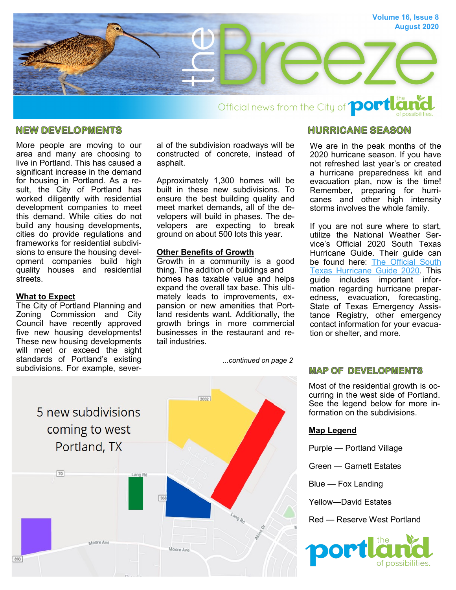

Official news from the City of **portle** 

### **NEW DEVELOPMENTS**

More people are moving to our area and many are choosing to live in Portland. This has caused a significant increase in the demand for housing in Portland. As a result, the City of Portland has worked diligently with residential development companies to meet this demand. While cities do not build any housing developments, cities do provide regulations and frameworks for residential subdivisions to ensure the housing development companies build high quality houses and residential streets.

#### **What to Expect**

The City of Portland Planning and Zoning Commission and City Council have recently approved five new housing developments! These new housing developments will meet or exceed the sight standards of Portland's existing subdivisions. For example, several of the subdivision roadways will be constructed of concrete, instead of asphalt.

Approximately 1,300 homes will be built in these new subdivisions. To ensure the best building quality and meet market demands, all of the developers will build in phases. The developers are expecting to break ground on about 500 lots this year.

#### **Other Benefits of Growth**

Growth in a community is a good thing. The addition of buildings and homes has taxable value and helps expand the overall tax base. This ultimately leads to improvements, expansion or new amenities that Portland residents want. Additionally, the growth brings in more commercial businesses in the restaurant and retail industries.

*...continued on page 2*

# $7032$ 5 new subdivisions coming to west Portland, TX  $70$ oore Ave Moore Ave

## **HURRICANE SEASON**

We are in the peak months of the 2020 hurricane season. If you have not refreshed last year's or created a hurricane preparedness kit and evacuation plan, now is the time! Remember, preparing for hurricanes and other high intensity storms involves the whole family.

If you are not sure where to start, utilize the National Weather Service's Official 2020 South Texas Hurricane Guide. Their guide can be found here: The Official South [Texas Hurricane Guide 2020.](https://www.weather.gov/media/crp/Hurricane_Guide_Final_English.pdf) This guide includes important information regarding hurricane preparedness, evacuation, forecasting, State of Texas Emergency Assistance Registry, other emergency contact information for your evacuation or shelter, and more.

# **MAP OF DEVELOPMENTS**

Most of the residential growth is occurring in the west side of Portland. See the legend below for more information on the subdivisions.

#### **Map Legend**

Purple — Portland Village

Green — Garnett Estates

Blue — Fox Landing

Yellow—David Estates

Red — Reserve West Portland



893